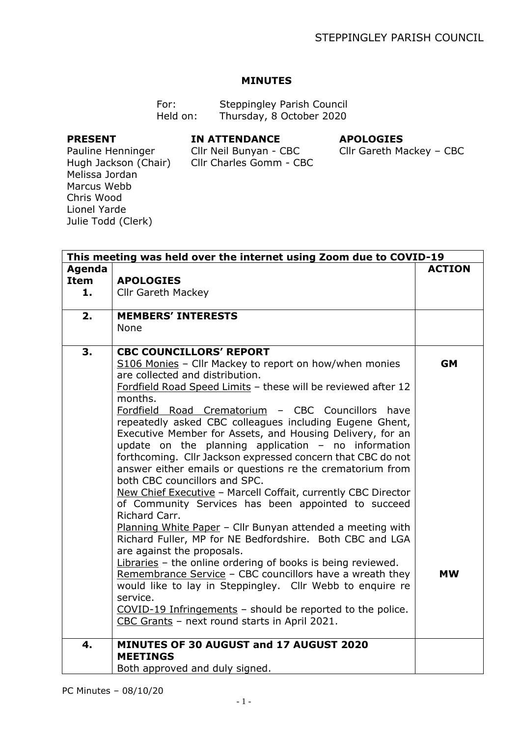## **MINUTES**

| For:     | Steppingley Parish Council |
|----------|----------------------------|
| Held on: | Thursday, 8 October 2020   |

## **PRESENT**

## **IN ATTENDANCE**

## **APOLOGIES**

Hugh Jackson (Chair) Cllr Charles Gomm - CBC Cllr Neil Bunyan - CBC

Cllr Gareth Mackey – CBC

Pauline Henninger Melissa Jordan Marcus Webb Chris Wood Lionel Yarde Julie Todd (Clerk)

|                             | This meeting was held over the internet using Zoom due to COVID-19                                                                                                                                                                                                                                                                                                                                                                                                                                                                                                                                                                                                                                                                                                                                                                                                                                                                                                                                                                                                                                                                                                                                                             |                        |  |  |
|-----------------------------|--------------------------------------------------------------------------------------------------------------------------------------------------------------------------------------------------------------------------------------------------------------------------------------------------------------------------------------------------------------------------------------------------------------------------------------------------------------------------------------------------------------------------------------------------------------------------------------------------------------------------------------------------------------------------------------------------------------------------------------------------------------------------------------------------------------------------------------------------------------------------------------------------------------------------------------------------------------------------------------------------------------------------------------------------------------------------------------------------------------------------------------------------------------------------------------------------------------------------------|------------------------|--|--|
| Agenda<br><b>Item</b><br>1. | <b>APOLOGIES</b><br><b>Cllr Gareth Mackey</b>                                                                                                                                                                                                                                                                                                                                                                                                                                                                                                                                                                                                                                                                                                                                                                                                                                                                                                                                                                                                                                                                                                                                                                                  | <b>ACTION</b>          |  |  |
|                             |                                                                                                                                                                                                                                                                                                                                                                                                                                                                                                                                                                                                                                                                                                                                                                                                                                                                                                                                                                                                                                                                                                                                                                                                                                |                        |  |  |
| 2.                          | <b>MEMBERS' INTERESTS</b><br><b>None</b>                                                                                                                                                                                                                                                                                                                                                                                                                                                                                                                                                                                                                                                                                                                                                                                                                                                                                                                                                                                                                                                                                                                                                                                       |                        |  |  |
| 3.                          | <b>CBC COUNCILLORS' REPORT</b><br>S106 Monies - Cllr Mackey to report on how/when monies<br>are collected and distribution.<br>Fordfield Road Speed Limits - these will be reviewed after 12<br>months.<br>Fordfield Road Crematorium - CBC Councillors have<br>repeatedly asked CBC colleagues including Eugene Ghent,<br>Executive Member for Assets, and Housing Delivery, for an<br>update on the planning application $-$ no information<br>forthcoming. Cllr Jackson expressed concern that CBC do not<br>answer either emails or questions re the crematorium from<br>both CBC councillors and SPC.<br>New Chief Executive - Marcell Coffait, currently CBC Director<br>of Community Services has been appointed to succeed<br>Richard Carr.<br>Planning White Paper - Cllr Bunyan attended a meeting with<br>Richard Fuller, MP for NE Bedfordshire. Both CBC and LGA<br>are against the proposals.<br>Libraries - the online ordering of books is being reviewed.<br>Remembrance Service - CBC councillors have a wreath they<br>would like to lay in Steppingley. Cllr Webb to enquire re<br>service.<br>COVID-19 Infringements - should be reported to the police.<br>CBC Grants - next round starts in April 2021. | <b>GM</b><br><b>MW</b> |  |  |
| $\mathbf{4}$ .              | MINUTES OF 30 AUGUST and 17 AUGUST 2020<br><b>MEETINGS</b><br>Both approved and duly signed.                                                                                                                                                                                                                                                                                                                                                                                                                                                                                                                                                                                                                                                                                                                                                                                                                                                                                                                                                                                                                                                                                                                                   |                        |  |  |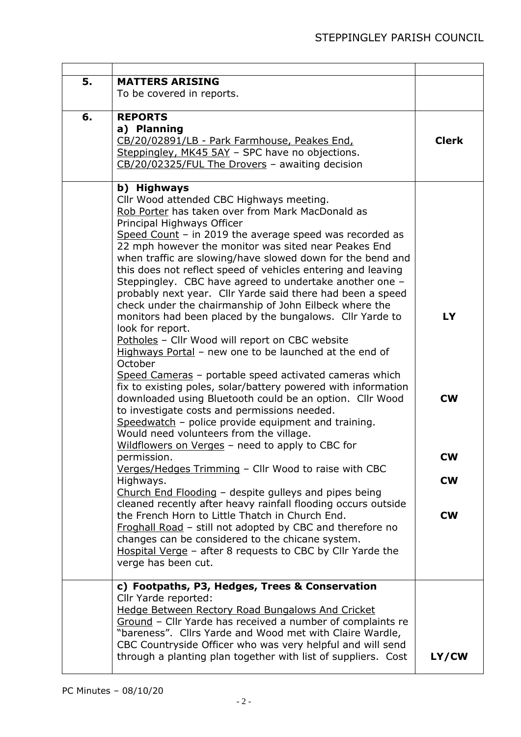| 5. | <b>MATTERS ARISING</b><br>To be covered in reports.                                                                                                                                                                                                                                                                                                                                                                                                                                                                                                                                                                                                                                                                                                                                                                                                                                                                                                                                                                                                                                                                                                                                                                                                                                                                                                                                                                                                                                                                                                                                                                                                         |                                                        |
|----|-------------------------------------------------------------------------------------------------------------------------------------------------------------------------------------------------------------------------------------------------------------------------------------------------------------------------------------------------------------------------------------------------------------------------------------------------------------------------------------------------------------------------------------------------------------------------------------------------------------------------------------------------------------------------------------------------------------------------------------------------------------------------------------------------------------------------------------------------------------------------------------------------------------------------------------------------------------------------------------------------------------------------------------------------------------------------------------------------------------------------------------------------------------------------------------------------------------------------------------------------------------------------------------------------------------------------------------------------------------------------------------------------------------------------------------------------------------------------------------------------------------------------------------------------------------------------------------------------------------------------------------------------------------|--------------------------------------------------------|
| 6. | <b>REPORTS</b><br>a) Planning<br>CB/20/02891/LB - Park Farmhouse, Peakes End,<br>Steppingley, MK45 5AY - SPC have no objections.<br>CB/20/02325/FUL The Drovers - awaiting decision                                                                                                                                                                                                                                                                                                                                                                                                                                                                                                                                                                                                                                                                                                                                                                                                                                                                                                                                                                                                                                                                                                                                                                                                                                                                                                                                                                                                                                                                         | <b>Clerk</b>                                           |
|    | b) Highways<br>Cllr Wood attended CBC Highways meeting.<br>Rob Porter has taken over from Mark MacDonald as<br>Principal Highways Officer<br>Speed Count $-$ in 2019 the average speed was recorded as<br>22 mph however the monitor was sited near Peakes End<br>when traffic are slowing/have slowed down for the bend and<br>this does not reflect speed of vehicles entering and leaving<br>Steppingley. CBC have agreed to undertake another one -<br>probably next year. Cllr Yarde said there had been a speed<br>check under the chairmanship of John Eilbeck where the<br>monitors had been placed by the bungalows. Cllr Yarde to<br>look for report.<br>Potholes - Cllr Wood will report on CBC website<br>Highways Portal - new one to be launched at the end of<br>October<br>Speed Cameras - portable speed activated cameras which<br>fix to existing poles, solar/battery powered with information<br>downloaded using Bluetooth could be an option. Cllr Wood<br>to investigate costs and permissions needed.<br>Speedwatch - police provide equipment and training.<br>Would need volunteers from the village.<br>Wildflowers on Verges - need to apply to CBC for<br>permission.<br>Verges/Hedges Trimming - Cllr Wood to raise with CBC<br>Highways.<br>Church End Flooding - despite gulleys and pipes being<br>cleaned recently after heavy rainfall flooding occurs outside<br>the French Horn to Little Thatch in Church End.<br>Froghall Road - still not adopted by CBC and therefore no<br>changes can be considered to the chicane system.<br>Hospital Verge - after 8 requests to CBC by Cllr Yarde the<br>verge has been cut. | <b>LY</b><br><b>CW</b><br>CW<br><b>CW</b><br><b>CW</b> |
|    | c) Footpaths, P3, Hedges, Trees & Conservation<br>Cllr Yarde reported:<br>Hedge Between Rectory Road Bungalows And Cricket<br>Ground - Cllr Yarde has received a number of complaints re<br>"bareness". Cllrs Yarde and Wood met with Claire Wardle,<br>CBC Countryside Officer who was very helpful and will send<br>through a planting plan together with list of suppliers. Cost                                                                                                                                                                                                                                                                                                                                                                                                                                                                                                                                                                                                                                                                                                                                                                                                                                                                                                                                                                                                                                                                                                                                                                                                                                                                         | LY/CW                                                  |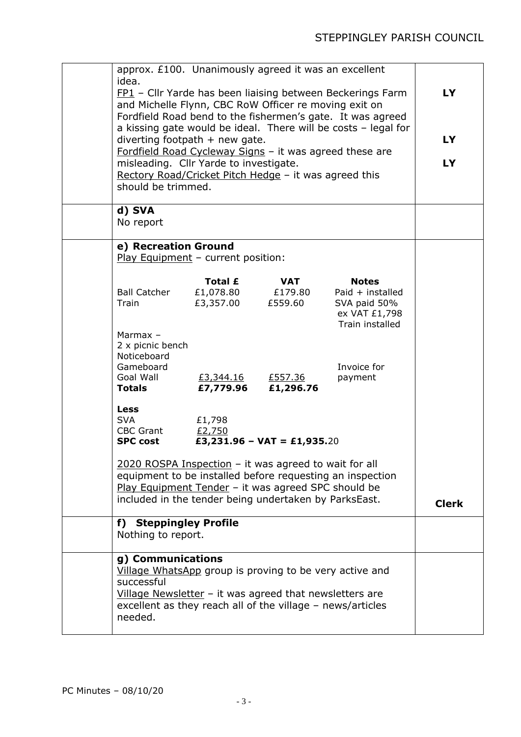| approx. £100. Unanimously agreed it was an excellent<br>idea.<br>FP1 - Cllr Yarde has been liaising between Beckerings Farm<br>and Michelle Flynn, CBC RoW Officer re moving exit on<br>Fordfield Road bend to the fishermen's gate. It was agreed<br>a kissing gate would be ideal. There will be costs - legal for<br>diverting footpath $+$ new gate.<br>Fordfield Road Cycleway Signs - it was agreed these are<br>misleading. Cllr Yarde to investigate.<br>Rectory Road/Cricket Pitch Hedge - it was agreed this<br>should be trimmed. |                                           |                             |                                                                                        | <b>LY</b><br><b>LY</b><br><b>LY</b> |
|----------------------------------------------------------------------------------------------------------------------------------------------------------------------------------------------------------------------------------------------------------------------------------------------------------------------------------------------------------------------------------------------------------------------------------------------------------------------------------------------------------------------------------------------|-------------------------------------------|-----------------------------|----------------------------------------------------------------------------------------|-------------------------------------|
| d) SVA<br>No report                                                                                                                                                                                                                                                                                                                                                                                                                                                                                                                          |                                           |                             |                                                                                        |                                     |
| e) Recreation Ground<br>Play Equipment - current position:                                                                                                                                                                                                                                                                                                                                                                                                                                                                                   |                                           |                             |                                                                                        |                                     |
| <b>Ball Catcher</b><br>Train<br>Marmax -                                                                                                                                                                                                                                                                                                                                                                                                                                                                                                     | Total £<br>£1,078.80 £179.80<br>£3,357.00 | <b>VAT</b><br>£559.60       | <b>Notes</b><br>Paid $+$ installed<br>SVA paid 50%<br>ex VAT £1,798<br>Train installed |                                     |
| 2 x picnic bench<br>Noticeboard<br>Gameboard<br>Goal Wall<br><b>Totals</b>                                                                                                                                                                                                                                                                                                                                                                                                                                                                   | <u>£3,344.16</u><br>£7,779.96             | £557.36<br>£1,296.76        | Invoice for<br>payment                                                                 |                                     |
| <b>Less</b><br><b>SVA</b><br><b>CBC Grant</b><br><b>SPC cost</b>                                                                                                                                                                                                                                                                                                                                                                                                                                                                             | £1,798<br>£2,750                          | £3,231.96 - VAT = £1,935.20 |                                                                                        |                                     |
| 2020 ROSPA Inspection - it was agreed to wait for all<br>equipment to be installed before requesting an inspection<br>Play Equipment Tender - it was agreed SPC should be<br>included in the tender being undertaken by ParksEast.                                                                                                                                                                                                                                                                                                           |                                           |                             | <b>Clerk</b>                                                                           |                                     |
| f) Steppingley Profile<br>Nothing to report.                                                                                                                                                                                                                                                                                                                                                                                                                                                                                                 |                                           |                             |                                                                                        |                                     |
| g) Communications<br>Village WhatsApp group is proving to be very active and<br>successful<br>Village Newsletter $-$ it was agreed that newsletters are<br>excellent as they reach all of the village - news/articles<br>needed.                                                                                                                                                                                                                                                                                                             |                                           |                             |                                                                                        |                                     |